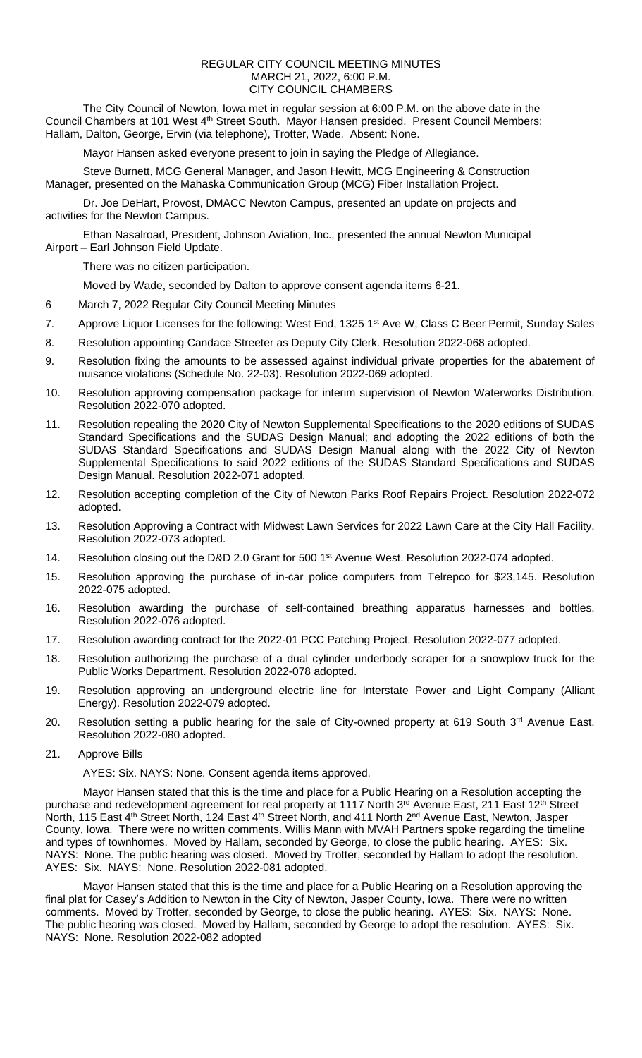## REGULAR CITY COUNCIL MEETING MINUTES MARCH 21, 2022, 6:00 P.M. CITY COUNCIL CHAMBERS

The City Council of Newton, Iowa met in regular session at 6:00 P.M. on the above date in the Council Chambers at 101 West 4<sup>th</sup> Street South. Mayor Hansen presided. Present Council Members: Hallam, Dalton, George, Ervin (via telephone), Trotter, Wade. Absent: None.

Mayor Hansen asked everyone present to join in saying the Pledge of Allegiance.

Steve Burnett, MCG General Manager, and Jason Hewitt, MCG Engineering & Construction Manager, presented on the Mahaska Communication Group (MCG) Fiber Installation Project.

Dr. Joe DeHart, Provost, DMACC Newton Campus, presented an update on projects and activities for the Newton Campus.

Ethan Nasalroad, President, Johnson Aviation, Inc., presented the annual Newton Municipal Airport – Earl Johnson Field Update.

There was no citizen participation.

Moved by Wade, seconded by Dalton to approve consent agenda items 6-21.

- 6 March 7, 2022 Regular City Council Meeting Minutes
- 7. Approve Liquor Licenses for the following: West End, 1325 1<sup>st</sup> Ave W, Class C Beer Permit, Sunday Sales
- 8. Resolution appointing Candace Streeter as Deputy City Clerk. Resolution 2022-068 adopted.
- 9. Resolution fixing the amounts to be assessed against individual private properties for the abatement of nuisance violations (Schedule No. 22-03). Resolution 2022-069 adopted.
- 10. Resolution approving compensation package for interim supervision of Newton Waterworks Distribution. Resolution 2022-070 adopted.
- 11. Resolution repealing the 2020 City of Newton Supplemental Specifications to the 2020 editions of SUDAS Standard Specifications and the SUDAS Design Manual; and adopting the 2022 editions of both the SUDAS Standard Specifications and SUDAS Design Manual along with the 2022 City of Newton Supplemental Specifications to said 2022 editions of the SUDAS Standard Specifications and SUDAS Design Manual. Resolution 2022-071 adopted.
- 12. Resolution accepting completion of the City of Newton Parks Roof Repairs Project. Resolution 2022-072 adopted.
- 13. Resolution Approving a Contract with Midwest Lawn Services for 2022 Lawn Care at the City Hall Facility. Resolution 2022-073 adopted.
- 14. Resolution closing out the D&D 2.0 Grant for 500 1<sup>st</sup> Avenue West. Resolution 2022-074 adopted.
- 15. Resolution approving the purchase of in-car police computers from Telrepco for \$23,145. Resolution 2022-075 adopted.
- 16. Resolution awarding the purchase of self-contained breathing apparatus harnesses and bottles. Resolution 2022-076 adopted.
- 17. Resolution awarding contract for the 2022-01 PCC Patching Project. Resolution 2022-077 adopted.
- 18. Resolution authorizing the purchase of a dual cylinder underbody scraper for a snowplow truck for the Public Works Department. Resolution 2022-078 adopted.
- 19. Resolution approving an underground electric line for Interstate Power and Light Company (Alliant Energy). Resolution 2022-079 adopted.
- 20. Resolution setting a public hearing for the sale of City-owned property at 619 South 3<sup>rd</sup> Avenue East. Resolution 2022-080 adopted.
- 21. Approve Bills

AYES: Six. NAYS: None. Consent agenda items approved.

Mayor Hansen stated that this is the time and place for a Public Hearing on a Resolution accepting the purchase and redevelopment agreement for real property at 1117 North 3rd Avenue East, 211 East 12th Street North, 115 East 4<sup>th</sup> Street North, 124 East 4<sup>th</sup> Street North, and 411 North 2<sup>nd</sup> Avenue East, Newton, Jasper County, Iowa. There were no written comments. Willis Mann with MVAH Partners spoke regarding the timeline and types of townhomes. Moved by Hallam, seconded by George, to close the public hearing. AYES: Six. NAYS: None. The public hearing was closed. Moved by Trotter, seconded by Hallam to adopt the resolution. AYES: Six. NAYS: None. Resolution 2022-081 adopted.

Mayor Hansen stated that this is the time and place for a Public Hearing on a Resolution approving the final plat for Casey's Addition to Newton in the City of Newton, Jasper County, Iowa. There were no written comments. Moved by Trotter, seconded by George, to close the public hearing. AYES: Six. NAYS: None. The public hearing was closed. Moved by Hallam, seconded by George to adopt the resolution. AYES: Six. NAYS: None. Resolution 2022-082 adopted